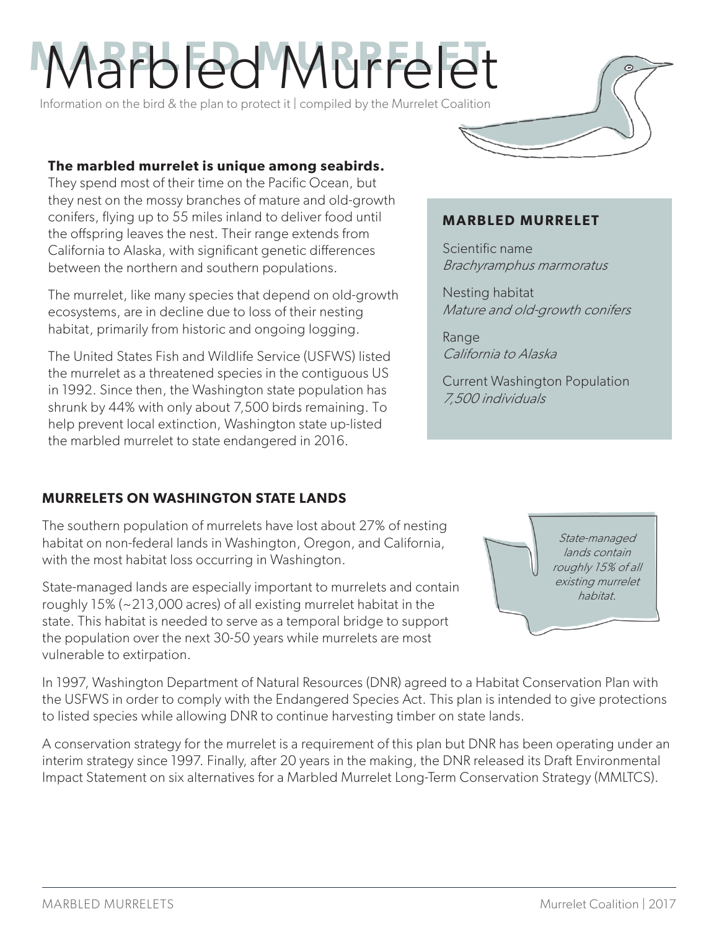# **MARBLED MURRELET** Marbled Murrelet

Information on the bird  $\&$  the plan to protect it  $|$  compiled by the Murrelet Coalition



#### **The marbled murrelet is unique among seabirds.**

They spend most of their time on the Pacific Ocean, but they nest on the mossy branches of mature and old-growth conifers, flying up to 55 miles inland to deliver food until the offspring leaves the nest. Their range extends from California to Alaska, with significant genetic differences between the northern and southern populations.

The murrelet, like many species that depend on old-growth ecosystems, are in decline due to loss of their nesting habitat, primarily from historic and ongoing logging.

The United States Fish and Wildlife Service (USFWS) listed the murrelet as a threatened species in the contiguous US in 1992. Since then, the Washington state population has shrunk by 44% with only about 7,500 birds remaining. To help prevent local extinction, Washington state up-listed the marbled murrelet to state endangered in 2016.

## **MARBLED MURRELET**

Scientific name Brachyramphus marmoratus

Nesting habitat Mature and old-growth conifers

Range California to Alaska

Current Washington Population 7,500 individuals

## **MURRELETS ON WASHINGTON STATE LANDS**

The southern population of murrelets have lost about 27% of nesting habitat on non-federal lands in Washington, Oregon, and California, with the most habitat loss occurring in Washington.

State-managed lands are especially important to murrelets and contain roughly 15% (~213,000 acres) of all existing murrelet habitat in the state. This habitat is needed to serve as a temporal bridge to support the population over the next 30-50 years while murrelets are most vulnerable to extirpation.

In 1997, Washington Department of Natural Resources (DNR) agreed to a Habitat Conservation Plan with the USFWS in order to comply with the Endangered Species Act. This plan is intended to give protections to listed species while allowing DNR to continue harvesting timber on state lands.

A conservation strategy for the murrelet is a requirement of this plan but DNR has been operating under an interim strategy since 1997. Finally, after 20 years in the making, the DNR released its Draft Environmental Impact Statement on six alternatives for a Marbled Murrelet Long-Term Conservation Strategy (MMLTCS).

State-managed lands contain roughly 15% of all existing murrelet habitat.